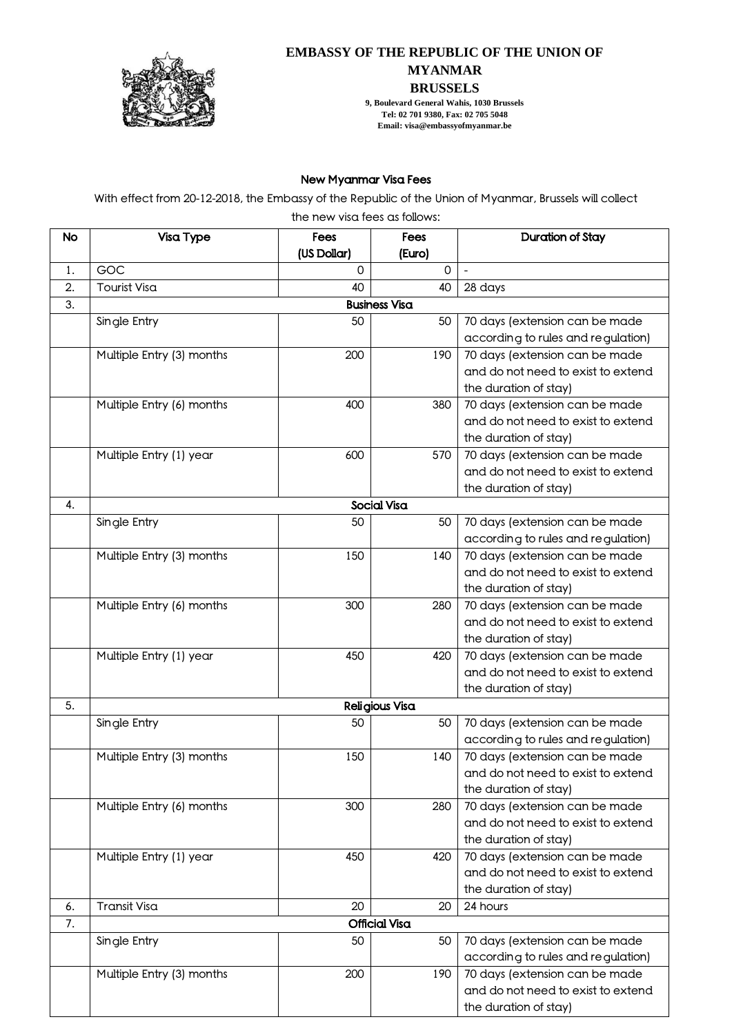

## **EMBASSY OF THE REPUBLIC OF THE UNION OF MYANMAR BRUSSELS**

**9, Boulevard General Wahis, 1030 Brussels Tel: 02 701 9380, Fax: 02 705 5048 Email: visa@embassyofmyanmar.be**

## New Myanmar Visa Fees

With effect from 20-12-2018, the Embassy of the Republic of the Union of Myanmar, Brussels will collect

the new visa fees as follows:

| <b>No</b> | Visa Type                                                                   | Fees         | Fees           | Duration of Stay                                                     |  |  |  |  |
|-----------|-----------------------------------------------------------------------------|--------------|----------------|----------------------------------------------------------------------|--|--|--|--|
|           |                                                                             | (US Dollar)  | (Euro)         |                                                                      |  |  |  |  |
| 1.        | GOC                                                                         | $\mathsf{O}$ | $\Omega$       | $\frac{1}{2}$                                                        |  |  |  |  |
| 2.        | Tourist Visa                                                                | 40           | 40             | 28 days                                                              |  |  |  |  |
| 3.        | <b>Business Visa</b>                                                        |              |                |                                                                      |  |  |  |  |
|           | Single Entry                                                                | 50           | 50             | 70 days (extension can be made                                       |  |  |  |  |
|           |                                                                             |              |                | according to rules and regulation)                                   |  |  |  |  |
|           | Multiple Entry (3) months                                                   | 200          | 190            | 70 days (extension can be made                                       |  |  |  |  |
|           |                                                                             |              |                | and do not need to exist to extend                                   |  |  |  |  |
|           |                                                                             |              |                | the duration of stay)                                                |  |  |  |  |
|           | Multiple Entry (6) months                                                   | 400          | 380            | 70 days (extension can be made<br>and do not need to exist to extend |  |  |  |  |
|           |                                                                             |              |                | the duration of stay)                                                |  |  |  |  |
|           | Multiple Entry (1) year                                                     | 600          | 570            | 70 days (extension can be made                                       |  |  |  |  |
|           |                                                                             |              |                | and do not need to exist to extend                                   |  |  |  |  |
|           |                                                                             |              |                | the duration of stay)                                                |  |  |  |  |
| 4.        |                                                                             |              | Social Visa    |                                                                      |  |  |  |  |
|           | Single Entry                                                                | 50           | 50             | 70 days (extension can be made                                       |  |  |  |  |
|           |                                                                             |              |                | according to rules and regulation)                                   |  |  |  |  |
|           | Multiple Entry (3) months                                                   | 150          | 140            | 70 days (extension can be made                                       |  |  |  |  |
|           |                                                                             |              |                | and do not need to exist to extend                                   |  |  |  |  |
|           |                                                                             |              |                | the duration of stay)                                                |  |  |  |  |
|           | Multiple Entry (6) months                                                   | 300          | 280            | 70 days (extension can be made                                       |  |  |  |  |
|           |                                                                             |              |                | and do not need to exist to extend                                   |  |  |  |  |
|           |                                                                             |              |                | the duration of stay)                                                |  |  |  |  |
|           | Multiple Entry (1) year                                                     | 450          | 420            | 70 days (extension can be made                                       |  |  |  |  |
|           |                                                                             |              |                | and do not need to exist to extend                                   |  |  |  |  |
|           |                                                                             |              |                | the duration of stay)                                                |  |  |  |  |
| 5.        |                                                                             |              | Religious Visa |                                                                      |  |  |  |  |
|           | Single Entry                                                                | 50           | 50             | 70 days (extension can be made                                       |  |  |  |  |
|           |                                                                             |              |                | according to rules and regulation)                                   |  |  |  |  |
|           | Multiple Entry (3) months                                                   | 150          | 140            | 70 days (extension can be made                                       |  |  |  |  |
|           |                                                                             |              |                | and do not need to exist to extend                                   |  |  |  |  |
|           |                                                                             |              |                | the duration of stay)                                                |  |  |  |  |
|           | Multiple Entry (6) months                                                   | 300          | 280            | 70 days (extension can be made                                       |  |  |  |  |
|           |                                                                             |              |                | and do not need to exist to extend                                   |  |  |  |  |
|           |                                                                             |              |                | the duration of stay)                                                |  |  |  |  |
|           | Multiple Entry (1) year                                                     | 450          | 420            | 70 days (extension can be made<br>and do not need to exist to extend |  |  |  |  |
|           |                                                                             |              |                |                                                                      |  |  |  |  |
| 6.        | <b>Transit Visa</b>                                                         | 20           | 20             | the duration of stay)<br>24 hours                                    |  |  |  |  |
| 7.        |                                                                             |              |                |                                                                      |  |  |  |  |
|           | Official Visa<br>70 days (extension can be made<br>Single Entry<br>50<br>50 |              |                |                                                                      |  |  |  |  |
|           |                                                                             |              |                | according to rules and regulation)                                   |  |  |  |  |
|           | Multiple Entry (3) months                                                   | 200          | 190            | 70 days (extension can be made                                       |  |  |  |  |
|           |                                                                             |              |                | and do not need to exist to extend                                   |  |  |  |  |
|           |                                                                             |              |                | the duration of stay)                                                |  |  |  |  |